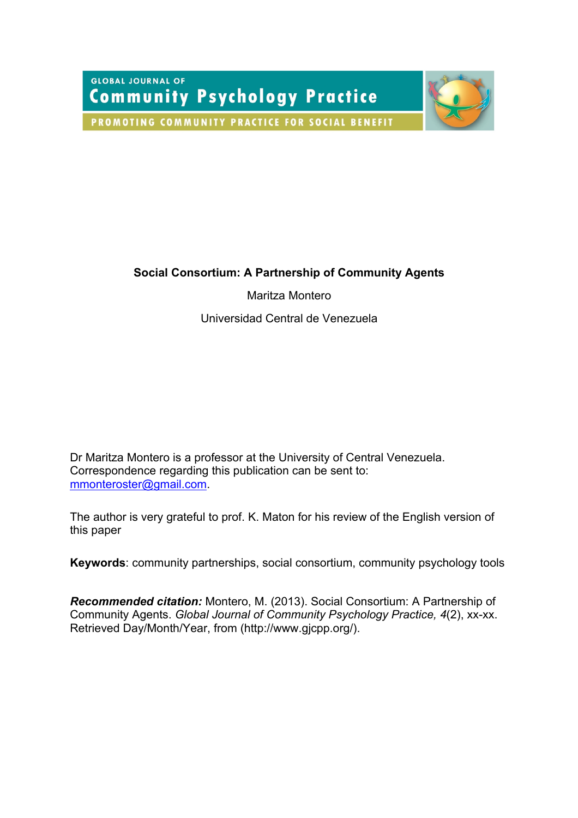**GLOBAL JOURNAL OF Community Psychology Practice** 



PROMOTING COMMUNITY PRACTICE FOR SOCIAL BENEFIT

# **Social Consortium: A Partnership of Community Agents**

Maritza Montero

Universidad Central de Venezuela

Dr Maritza Montero is a professor at the University of Central Venezuela. Correspondence regarding this publication can be sent to: mmonteroster@gmail.com.

The author is very grateful to prof. K. Maton for his review of the English version of this paper

**Keywords**: community partnerships, social consortium, community psychology tools

*Recommended citation:* Montero, M. (2013). Social Consortium: A Partnership of Community Agents. *Global Journal of Community Psychology Practice, 4*(2), xx-xx. Retrieved Day/Month/Year, from (http://www.gjcpp.org/).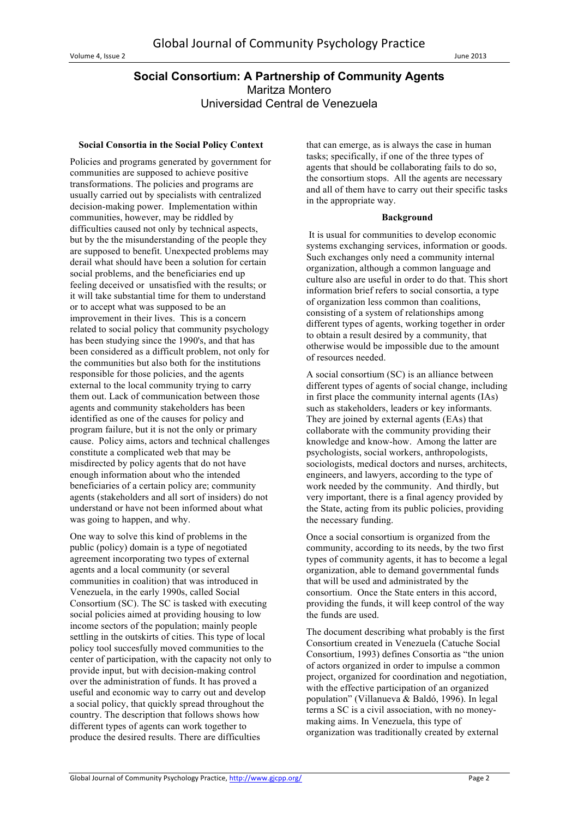# **Social Consortium: A Partnership of Community Agents** Maritza Montero Universidad Central de Venezuela

#### **Social Consortia in the Social Policy Context**

Policies and programs generated by government for communities are supposed to achieve positive transformations. The policies and programs are usually carried out by specialists with centralized decision-making power. Implementation within communities, however, may be riddled by difficulties caused not only by technical aspects, but by the the misunderstanding of the people they are supposed to benefit. Unexpected problems may derail what should have been a solution for certain social problems, and the beneficiaries end up feeling deceived or unsatisfied with the results; or it will take substantial time for them to understand or to accept what was supposed to be an improvement in their lives. This is a concern related to social policy that community psychology has been studying since the 1990's, and that has been considered as a difficult problem, not only for the communities but also both for the institutions responsible for those policies, and the agents external to the local community trying to carry them out. Lack of communication between those agents and community stakeholders has been identified as one of the causes for policy and program failure, but it is not the only or primary cause. Policy aims, actors and technical challenges constitute a complicated web that may be misdirected by policy agents that do not have enough information about who the intended beneficiaries of a certain policy are; community agents (stakeholders and all sort of insiders) do not understand or have not been informed about what was going to happen, and why.

One way to solve this kind of problems in the public (policy) domain is a type of negotiated agreement incorporating two types of external agents and a local community (or several communities in coalition) that was introduced in Venezuela, in the early 1990s, called Social Consortium (SC). The SC is tasked with executing social policies aimed at providing housing to low income sectors of the population; mainly people settling in the outskirts of cities. This type of local policy tool succesfully moved communities to the center of participation, with the capacity not only to provide input, but with decision-making control over the administration of funds. It has proved a useful and economic way to carry out and develop a social policy, that quickly spread throughout the country. The description that follows shows how different types of agents can work together to produce the desired results. There are difficulties

that can emerge, as is always the case in human tasks; specifically, if one of the three types of agents that should be collaborating fails to do so, the consortium stops. All the agents are necessary and all of them have to carry out their specific tasks in the appropriate way.

#### **Background**

It is usual for communities to develop economic systems exchanging services, information or goods. Such exchanges only need a community internal organization, although a common language and culture also are useful in order to do that. This short information brief refers to social consortia, a type of organization less common than coalitions, consisting of a system of relationships among different types of agents, working together in order to obtain a result desired by a community, that otherwise would be impossible due to the amount of resources needed.

A social consortium (SC) is an alliance between different types of agents of social change, including in first place the community internal agents (IAs) such as stakeholders, leaders or key informants. They are joined by external agents (EAs) that collaborate with the community providing their knowledge and know-how. Among the latter are psychologists, social workers, anthropologists, sociologists, medical doctors and nurses, architects, engineers, and lawyers, according to the type of work needed by the community. And thirdly, but very important, there is a final agency provided by the State, acting from its public policies, providing the necessary funding.

Once a social consortium is organized from the community, according to its needs, by the two first types of community agents, it has to become a legal organization, able to demand governmental funds that will be used and administrated by the consortium. Once the State enters in this accord, providing the funds, it will keep control of the way the funds are used.

The document describing what probably is the first Consortium created in Venezuela (Catuche Social Consortium, 1993) defines Consortia as "the union of actors organized in order to impulse a common project, organized for coordination and negotiation, with the effective participation of an organized population" (Villanueva & Baldó, 1996). In legal terms a SC is a civil association, with no moneymaking aims. In Venezuela, this type of organization was traditionally created by external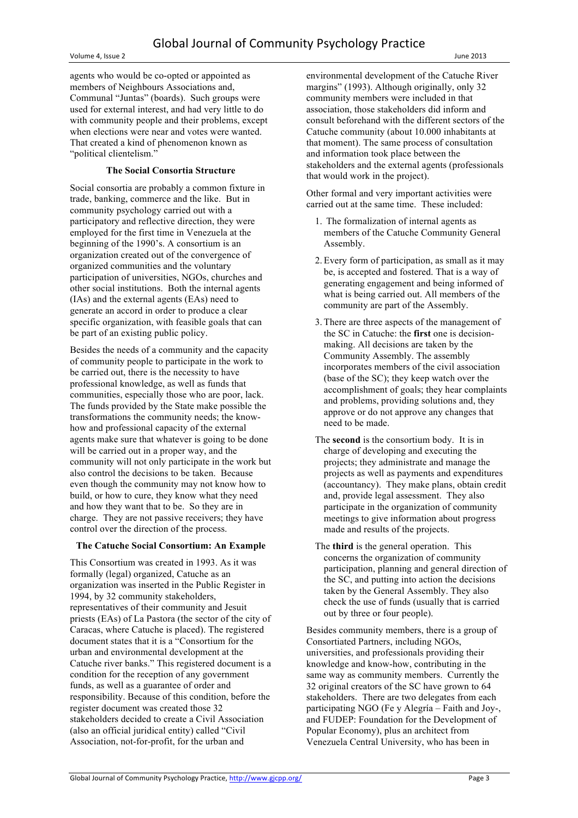Volume 4, Issue 2 June 2013

agents who would be co-opted or appointed as members of Neighbours Associations and, Communal "Juntas" (boards). Such groups were used for external interest, and had very little to do with community people and their problems, except when elections were near and votes were wanted. That created a kind of phenomenon known as "political clientelism."

## **The Social Consortia Structure**

Social consortia are probably a common fixture in trade, banking, commerce and the like. But in community psychology carried out with a participatory and reflective direction, they were employed for the first time in Venezuela at the beginning of the 1990's. A consortium is an organization created out of the convergence of organized communities and the voluntary participation of universities, NGOs, churches and other social institutions. Both the internal agents (IAs) and the external agents (EAs) need to generate an accord in order to produce a clear specific organization, with feasible goals that can be part of an existing public policy.

Besides the needs of a community and the capacity of community people to participate in the work to be carried out, there is the necessity to have professional knowledge, as well as funds that communities, especially those who are poor, lack. The funds provided by the State make possible the transformations the community needs; the knowhow and professional capacity of the external agents make sure that whatever is going to be done will be carried out in a proper way, and the community will not only participate in the work but also control the decisions to be taken. Because even though the community may not know how to build, or how to cure, they know what they need and how they want that to be. So they are in charge. They are not passive receivers; they have control over the direction of the process.

# **The Catuche Social Consortium: An Example**

This Consortium was created in 1993. As it was formally (legal) organized, Catuche as an organization was inserted in the Public Register in 1994, by 32 community stakeholders, representatives of their community and Jesuit priests (EAs) of La Pastora (the sector of the city of Caracas, where Catuche is placed). The registered document states that it is a "Consortium for the urban and environmental development at the Catuche river banks." This registered document is a condition for the reception of any government funds, as well as a guarantee of order and responsibility. Because of this condition, before the register document was created those 32 stakeholders decided to create a Civil Association (also an official juridical entity) called "Civil Association, not-for-profit, for the urban and

environmental development of the Catuche River margins" (1993). Although originally, only 32 community members were included in that association, those stakeholders did inform and consult beforehand with the different sectors of the Catuche community (about 10.000 inhabitants at that moment). The same process of consultation and information took place between the stakeholders and the external agents (professionals that would work in the project).

Other formal and very important activities were carried out at the same time. These included:

- 1. The formalization of internal agents as members of the Catuche Community General Assembly.
- 2. Every form of participation, as small as it may be, is accepted and fostered. That is a way of generating engagement and being informed of what is being carried out. All members of the community are part of the Assembly.
- 3. There are three aspects of the management of the SC in Catuche: the **first** one is decisionmaking. All decisions are taken by the Community Assembly. The assembly incorporates members of the civil association (base of the SC); they keep watch over the accomplishment of goals; they hear complaints and problems, providing solutions and, they approve or do not approve any changes that need to be made.
- The **second** is the consortium body. It is in charge of developing and executing the projects; they administrate and manage the projects as well as payments and expenditures (accountancy). They make plans, obtain credit and, provide legal assessment. They also participate in the organization of community meetings to give information about progress made and results of the projects.
- The **third** is the general operation. This concerns the organization of community participation, planning and general direction of the SC, and putting into action the decisions taken by the General Assembly. They also check the use of funds (usually that is carried out by three or four people).

Besides community members, there is a group of Consortiated Partners, including NGOs, universities, and professionals providing their knowledge and know-how, contributing in the same way as community members. Currently the 32 original creators of the SC have grown to 64 stakeholders. There are two delegates from each participating NGO (Fe y Alegría – Faith and Joy-, and FUDEP: Foundation for the Development of Popular Economy), plus an architect from Venezuela Central University, who has been in